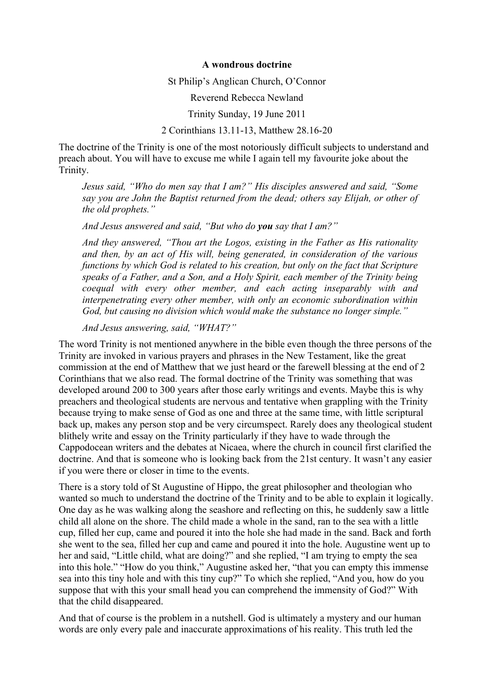## **A wondrous doctrine**

St Philip's Anglican Church, O'Connor

Reverend Rebecca Newland

Trinity Sunday, 19 June 2011

2 Corinthians 13.11-13, Matthew 28.16-20

The doctrine of the Trinity is one of the most notoriously difficult subjects to understand and preach about. You will have to excuse me while I again tell my favourite joke about the Trinity.

*Jesus said, "Who do men say that I am?" His disciples answered and said, "Some say you are John the Baptist returned from the dead; others say Elijah, or other of the old prophets."*

*And Jesus answered and said, "But who do you say that I am?"*

*And they answered, "Thou art the Logos, existing in the Father as His rationality and then, by an act of His will, being generated, in consideration of the various functions by which God is related to his creation, but only on the fact that Scripture speaks of a Father, and a Son, and a Holy Spirit, each member of the Trinity being coequal with every other member, and each acting inseparably with and interpenetrating every other member, with only an economic subordination within God, but causing no division which would make the substance no longer simple."*

*And Jesus answering, said, "WHAT?"*

The word Trinity is not mentioned anywhere in the bible even though the three persons of the Trinity are invoked in various prayers and phrases in the New Testament, like the great commission at the end of Matthew that we just heard or the farewell blessing at the end of 2 Corinthians that we also read. The formal doctrine of the Trinity was something that was developed around 200 to 300 years after those early writings and events. Maybe this is why preachers and theological students are nervous and tentative when grappling with the Trinity because trying to make sense of God as one and three at the same time, with little scriptural back up, makes any person stop and be very circumspect. Rarely does any theological student blithely write and essay on the Trinity particularly if they have to wade through the Cappodocean writers and the debates at Nicaea, where the church in council first clarified the doctrine. And that is someone who is looking back from the 21st century. It wasn't any easier if you were there or closer in time to the events.

There is a story told of St Augustine of Hippo, the great philosopher and theologian who wanted so much to understand the doctrine of the Trinity and to be able to explain it logically. One day as he was walking along the seashore and reflecting on this, he suddenly saw a little child all alone on the shore. The child made a whole in the sand, ran to the sea with a little cup, filled her cup, came and poured it into the hole she had made in the sand. Back and forth she went to the sea, filled her cup and came and poured it into the hole. Augustine went up to her and said, "Little child, what are doing?" and she replied, "I am trying to empty the sea into this hole." "How do you think," Augustine asked her, "that you can empty this immense sea into this tiny hole and with this tiny cup?" To which she replied, "And you, how do you suppose that with this your small head you can comprehend the immensity of God?" With that the child disappeared.

And that of course is the problem in a nutshell. God is ultimately a mystery and our human words are only every pale and inaccurate approximations of his reality. This truth led the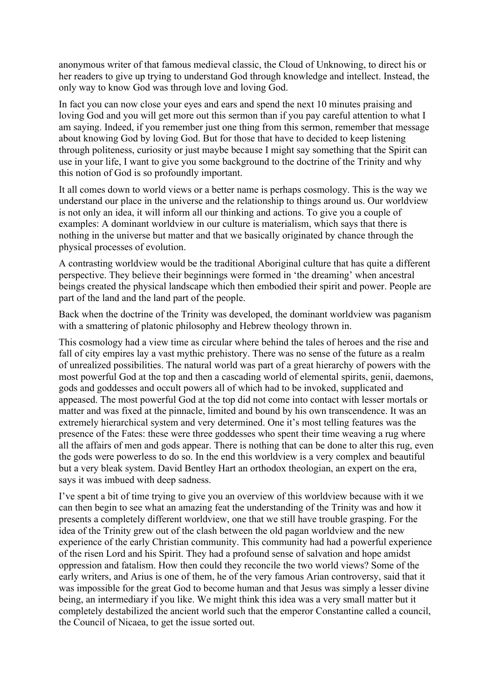anonymous writer of that famous medieval classic, the Cloud of Unknowing, to direct his or her readers to give up trying to understand God through knowledge and intellect. Instead, the only way to know God was through love and loving God.

In fact you can now close your eyes and ears and spend the next 10 minutes praising and loving God and you will get more out this sermon than if you pay careful attention to what I am saying. Indeed, if you remember just one thing from this sermon, remember that message about knowing God by loving God. But for those that have to decided to keep listening through politeness, curiosity or just maybe because I might say something that the Spirit can use in your life, I want to give you some background to the doctrine of the Trinity and why this notion of God is so profoundly important.

It all comes down to world views or a better name is perhaps cosmology. This is the way we understand our place in the universe and the relationship to things around us. Our worldview is not only an idea, it will inform all our thinking and actions. To give you a couple of examples: A dominant worldview in our culture is materialism, which says that there is nothing in the universe but matter and that we basically originated by chance through the physical processes of evolution.

A contrasting worldview would be the traditional Aboriginal culture that has quite a different perspective. They believe their beginnings were formed in 'the dreaming' when ancestral beings created the physical landscape which then embodied their spirit and power. People are part of the land and the land part of the people.

Back when the doctrine of the Trinity was developed, the dominant worldview was paganism with a smattering of platonic philosophy and Hebrew theology thrown in.

This cosmology had a view time as circular where behind the tales of heroes and the rise and fall of city empires lay a vast mythic prehistory. There was no sense of the future as a realm of unrealized possibilities. The natural world was part of a great hierarchy of powers with the most powerful God at the top and then a cascading world of elemental spirits, genii, daemons, gods and goddesses and occult powers all of which had to be invoked, supplicated and appeased. The most powerful God at the top did not come into contact with lesser mortals or matter and was fixed at the pinnacle, limited and bound by his own transcendence. It was an extremely hierarchical system and very determined. One it's most telling features was the presence of the Fates: these were three goddesses who spent their time weaving a rug where all the affairs of men and gods appear. There is nothing that can be done to alter this rug, even the gods were powerless to do so. In the end this worldview is a very complex and beautiful but a very bleak system. David Bentley Hart an orthodox theologian, an expert on the era, says it was imbued with deep sadness.

I've spent a bit of time trying to give you an overview of this worldview because with it we can then begin to see what an amazing feat the understanding of the Trinity was and how it presents a completely different worldview, one that we still have trouble grasping. For the idea of the Trinity grew out of the clash between the old pagan worldview and the new experience of the early Christian community. This community had had a powerful experience of the risen Lord and his Spirit. They had a profound sense of salvation and hope amidst oppression and fatalism. How then could they reconcile the two world views? Some of the early writers, and Arius is one of them, he of the very famous Arian controversy, said that it was impossible for the great God to become human and that Jesus was simply a lesser divine being, an intermediary if you like. We might think this idea was a very small matter but it completely destabilized the ancient world such that the emperor Constantine called a council, the Council of Nicaea, to get the issue sorted out.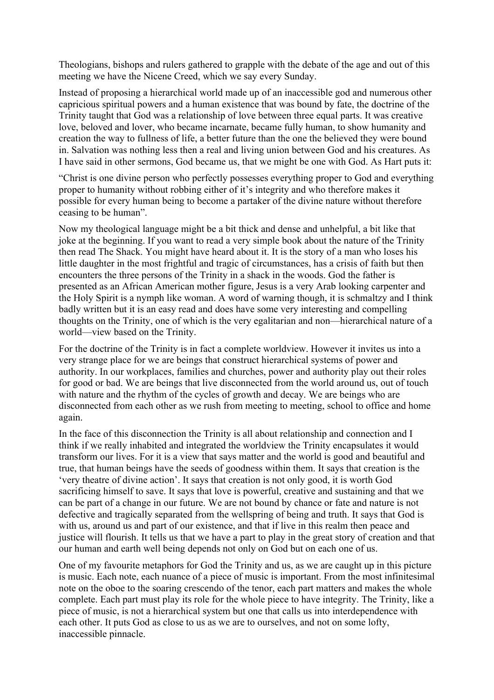Theologians, bishops and rulers gathered to grapple with the debate of the age and out of this meeting we have the Nicene Creed, which we say every Sunday.

Instead of proposing a hierarchical world made up of an inaccessible god and numerous other capricious spiritual powers and a human existence that was bound by fate, the doctrine of the Trinity taught that God was a relationship of love between three equal parts. It was creative love, beloved and lover, who became incarnate, became fully human, to show humanity and creation the way to fullness of life, a better future than the one the believed they were bound in. Salvation was nothing less then a real and living union between God and his creatures. As I have said in other sermons, God became us, that we might be one with God. As Hart puts it:

"Christ is one divine person who perfectly possesses everything proper to God and everything proper to humanity without robbing either of it's integrity and who therefore makes it possible for every human being to become a partaker of the divine nature without therefore ceasing to be human".

Now my theological language might be a bit thick and dense and unhelpful, a bit like that joke at the beginning. If you want to read a very simple book about the nature of the Trinity then read The Shack. You might have heard about it. It is the story of a man who loses his little daughter in the most frightful and tragic of circumstances, has a crisis of faith but then encounters the three persons of the Trinity in a shack in the woods. God the father is presented as an African American mother figure, Jesus is a very Arab looking carpenter and the Holy Spirit is a nymph like woman. A word of warning though, it is schmaltzy and I think badly written but it is an easy read and does have some very interesting and compelling thoughts on the Trinity, one of which is the very egalitarian and non—hierarchical nature of a world—view based on the Trinity.

For the doctrine of the Trinity is in fact a complete worldview. However it invites us into a very strange place for we are beings that construct hierarchical systems of power and authority. In our workplaces, families and churches, power and authority play out their roles for good or bad. We are beings that live disconnected from the world around us, out of touch with nature and the rhythm of the cycles of growth and decay. We are beings who are disconnected from each other as we rush from meeting to meeting, school to office and home again.

In the face of this disconnection the Trinity is all about relationship and connection and I think if we really inhabited and integrated the worldview the Trinity encapsulates it would transform our lives. For it is a view that says matter and the world is good and beautiful and true, that human beings have the seeds of goodness within them. It says that creation is the 'very theatre of divine action'. It says that creation is not only good, it is worth God sacrificing himself to save. It says that love is powerful, creative and sustaining and that we can be part of a change in our future. We are not bound by chance or fate and nature is not defective and tragically separated from the wellspring of being and truth. It says that God is with us, around us and part of our existence, and that if live in this realm then peace and justice will flourish. It tells us that we have a part to play in the great story of creation and that our human and earth well being depends not only on God but on each one of us.

One of my favourite metaphors for God the Trinity and us, as we are caught up in this picture is music. Each note, each nuance of a piece of music is important. From the most infinitesimal note on the oboe to the soaring crescendo of the tenor, each part matters and makes the whole complete. Each part must play its role for the whole piece to have integrity. The Trinity, like a piece of music, is not a hierarchical system but one that calls us into interdependence with each other. It puts God as close to us as we are to ourselves, and not on some lofty, inaccessible pinnacle.